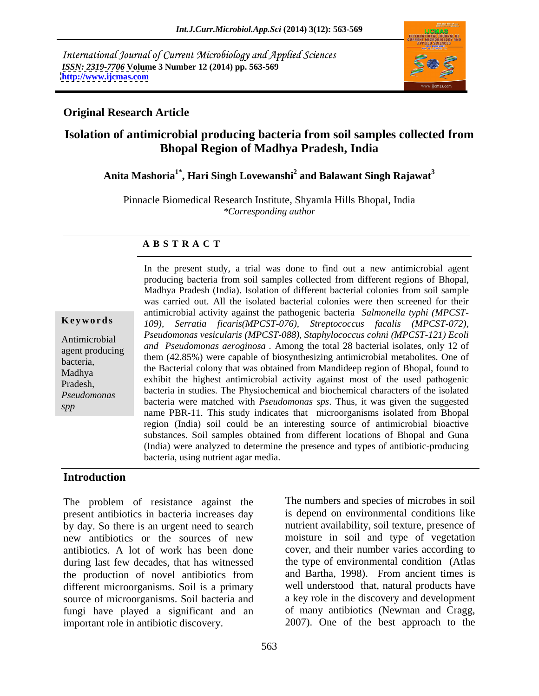International Journal of Current Microbiology and Applied Sciences *ISSN: 2319-7706* **Volume 3 Number 12 (2014) pp. 563-569 <http://www.ijcmas.com>**



## **Original Research Article**

# **Isolation of antimicrobial producing bacteria from soil samples collected from Bhopal Region of Madhya Pradesh, India**

# **Anita Mashoria1\* , Hari Singh Lovewanshi<sup>2</sup> and Balawant Singh Rajawat<sup>3</sup>**

Pinnacle Biomedical Research Institute, Shyamla Hills Bhopal, India *\*Corresponding author* 

### **A B S T R A C T**

|  |  | Keywords |  |
|--|--|----------|--|
|--|--|----------|--|

**Ke ywo rds** *109), Serratia ficaris(MPCST-076), Streptococcus facalis (MPCST-072),*  Antimicrobial *Pseudomonas vesicularis (MPCST-088), Staphylococcus cohni (MPCST-121) Ecoli*  agent producing *and Pseudomonas aeroginosa .* Among the total 28 bacterial isolates, only 12 of short-them (42.85%) were capable of biosynthesizing antimicrobial metabolites. One of biosteria, Madhya a chine bacterial colony that was obtained from Mandideep region of Bhopar, found to Pradesh, exhibit the highest antimicrobial activity against most of the used pathogenic *Pseudomonas*  bacteria were matched with *Pseudomonas sps*. Thus, it was given the suggested spp<br>
name PBR-11. This study indicates that microorganisms isolated from Bhopal In the present study, a trial was done to find out a new antimicrobial agent producing bacteria from soil samples collected from different regions of Bhopal, Madhya Pradesh (India). Isolation of different bacterial colonies from soil sample was carried out. All the isolated bacterial colonies were then screened for their antimicrobial activity against the pathogenic bacteria *Salmonella typhi (MPCST* the Bacterial colony that was obtained from Mandideep region of Bhopal, found to bacteria in studies. The Physiochemical and biochemical characters of the isolated region (India) soil could be an interesting source of antimicrobial bioactive substances. Soil samples obtained from different locations of Bhopal and Guna (India) were analyzed to determine the presence and types of antibiotic-producing bacteria, using nutrient agar media.

## **Introduction**

The problem of resistance against the present antibiotics in bacteria increases day by day. So there is an urgent need to search new antibiotics or the sources of new antibiotics. A lot of work has been done during last few decades, that has witnessed the production of novel antibiotics from different microorganisms. Soil is a primary source of microorganisms. Soil bacteria and fungi have played a significant and an important role in antibiotic discovery. 2007). One of the best approach to the

The numbers and species of microbes in soil is depend on environmental conditions like nutrient availability, soil texture, presence of moisture in soil and type of vegetation cover, and their number varies according to the type of environmental condition (Atlas and Bartha, 1998). From ancient times is well understood that, natural products have a key role in the discovery and development of many antibiotics (Newman and Cragg,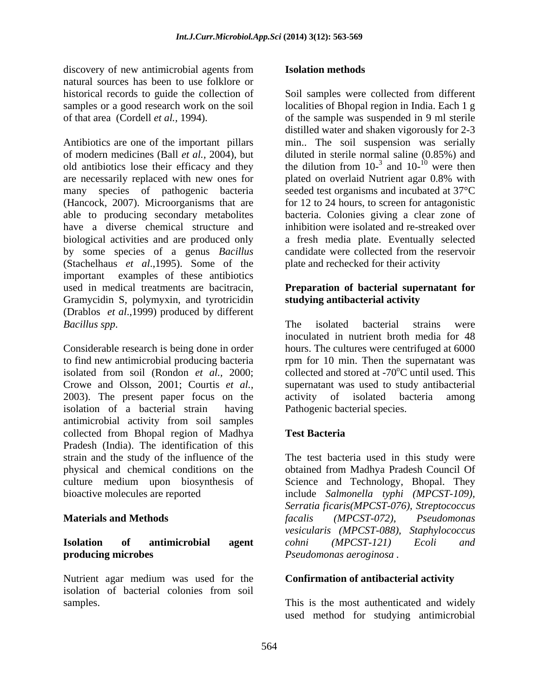discovery of new antimicrobial agents from **Isolation methods** natural sources has been to use folklore or

old antibiotics lose their efficacy and they are necessarily replaced with new ones for plated on overlaid Nutrient agar 0.8% with have a diverse chemical structure and (Stachelhaus *et al*.,1995). Some of the important examples of these antibiotics used in medical treatments are bacitracin, **Preparation of bacterial supernatant for** Gramycidin S, polymyxin, and tyrotricidin (Drablos *et al*.,1999) produced by different

to find new antimicrobial producing bacteria here in for 10 min. Then the supernatant was isolated from soil (Rondon *et al.*, 2000; collected and stored at -70 $\degree$ C until used. This Crowe and Olsson, 2001; Courtis *et al.,* 2003). The present paper focus on the isolation of a bacterial strain having antimicrobial activity from soil samples collected from Bhopal region of Madhya Pradesh (India). The identification of this strain and the study of the influence of the physical and chemical conditions on the obtained from Madhya Pradesh Council Of culture medium upon biosynthesis of Science and Technology, Bhopal. They

# **producing microbes**  *Pseudomonas aeroginosa .*

Nutrient agar medium was used for the **Confirmation of antibacterial activity** isolation of bacterial colonies from soil

## **Isolation methods**

historical records to guide the collection of Soil samples were collected from different samples or a good research work on the soil localities of Bhopal region in India. Each 1 g of that area (Cordell *et al.,* 1994). of the sample was suspended in 9 ml sterile Antibiotics are one of the important pillars min..The soil suspension was serially of modern medicines (Ball *et al.,* 2004), but diluted in sterile normal saline (0.85%) and many species of pathogenic bacteria seeded test organisms and incubated at 37°C (Hancock, 2007). Microorganisms that are for 12 to 24 hours, to screen for antagonistic able to producing secondary metabolites bacteria. Colonies giving a clear zone of biological activities and are produced only a fresh media plate. Eventually selected by some species of a genus *Bacillus*  candidate were collected from the reservoir distilled water and shaken vigorously for 2-3 the dilution from  $10^{-3}$  and  $10^{-10}$  were then and  $10^{-10}$  were then were then plated on overlaid Nutrient agar 0.8% with inhibition were isolated and re-streaked over plate and rechecked for their activity

# **studying antibacterial activity**

*Bacillus spp.*<br> *Considerable research is being done in order*<br> *Considerable research is being done in order*<br> *Considerable research is being done in order*<br> *Considerable research is being done in order*<br> *Considerable* The isolated bacterial strains were inoculated in nutrient broth media for 48 hours. The cultures were centrifuged at 6000 supernatant was used to study antibacterial activity of isolated bacteria Pathogenic bacterial species.

## **Test Bacteria**

bioactive molecules are reported include *Salmonella typhi (MPCST-109),*  **Materials and Methods** *calis (MPCST-072)*, *Pseudomonas* **Isolation of antimicrobial agent** The test bacteria used in this study were *Serratia ficaris(MPCST-076), Streptococcus facalis (MPCST-072), Pseudomonas vesicularis (MPCST-088), Staphylococcus cohni (MPCST-121) Ecoli and*

samples. This is the most authenticated and widely used method for studying antimicrobial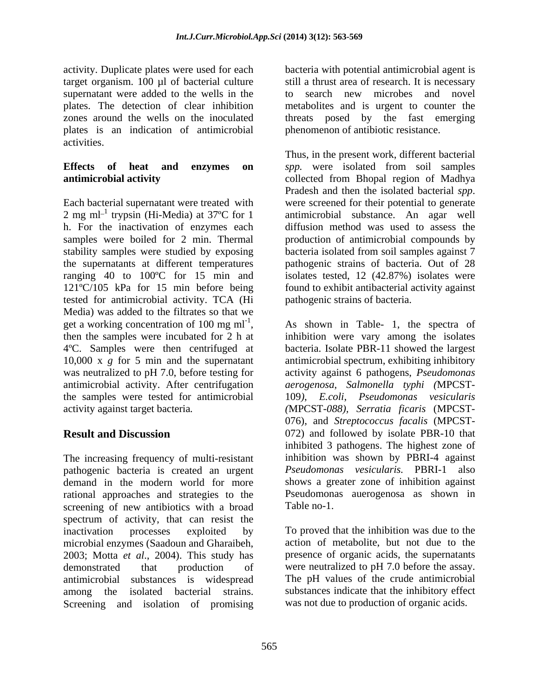target organism. 100 µl of bacterial culture supernatant were added to the wells in the to search new microbes and novel plates is an indication of antimicrobial activities.

Each bacterial supernatant were treated with were screened for their potential to generate 2 mg ml<sup>-1</sup> trypsin (Hi-Media) at  $37^{\circ}$ C for 1 h. For the inactivation of enzymes each samples were boiled for 2 min. Thermal production of antimicrobial compounds by stability samples were studied by exposing bacteria isolated from soil samples against 7 the supernatants at different temperatures pathogenic strains of bacteria. Out of 28 ranging 40 to 100ºC for 15 min and isolates tested, 12 (42.87%) isolates were 121ºC/105 kPa for 15 min before being tested for antimicrobial activity. TCA (Hi Media) was added to the filtrates so that we get a working concentration of 100 mg ml<sup>-1</sup>, As shown in Table- 1, the spectra of get a working concentration of 100 mg  $ml^{-1}$ , As shown in Table- 1, the spectra of then the samples were incubated for 2 h at inhibition were vary among the isolates 4ºC. Samples were then centrifuged at bacteria. Isolate PBR-11 showed the largest 10,000 x *g* for 5 min and the supernatant antimicrobial spectrum, exhibiting inhibitory was neutralized to pH 7.0, before testing for activity against 6 pathogens, *Pseudomonas*  antimicrobial activity. After centrifugation the samples were tested for antimicrobial activity against target bacteria*. (*MPCST*-088), Serratia ficaris* (MPCST-

The increasing frequency of multi-resistant pathogenic bacteria is created an urgent demand in the modern world for more rational approaches and strategies to the screening of new antibiotics with a broad Table no-1. spectrum of activity, that can resist the inactivation processes exploited by To proved that the inhibition was due to the microbial enzymes (Saadoun and Gharaibeh, 2003; Motta *et al*., 2004). This study has demonstrated that production of were neutralized to pH 7.0 before the assay. antimicrobial substances is widespread among the isolated bacterial strains. Screening and isolation of promising

activity. Duplicate plates were used for each bacteria with potential antimicrobialagent is plates. The detection of clear inhibition metabolites and is urgent to counter the zones around the wells on the inoculated threats posed by the fast emerging still a thrust area of research. It is necessary to search new microbes and novel phenomenon of antibiotic resistance.

**Effects of heat and enzymes on** *spp.* were isolated from soil samples **antimicrobial activity** collected from Bhopal region of Madhya Thus, in the present work, different bacterial Pradesh and then the isolated bacterial *spp*. were screened for their potential to generate antimicrobial substance. An agar well diffusion method was used to assess the found to exhibit antibacterial activity against pathogenic strains of bacteria.

**Result and Discussion**  072) and followed by isolate PBR-10 that inhibition were vary among the isolates *aerogenosa*, *Salmonella typhi (*MPCST- 109*)*, *E.coli*, *Pseudomonas vesicularis* 076), and *Streptococcus facalis* (MPCST inhibited 3 pathogens. The highest zone of inhibition was shown by PBRI-4 against *Pseudomonas vesicularis.* PBRI-1 also shows a greater zone of inhibition against Pseudomonas auerogenosa as shown in Table no-1.

> action of metabolite, but not due to the presence of organic acids, the supernatants The pH values of the crude antimicrobial substances indicate that the inhibitory effect was not due to production of organic acids.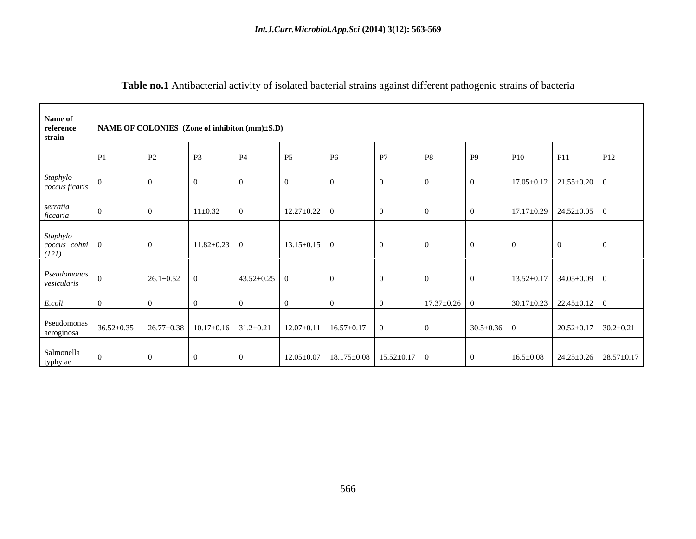| Name of                             |    |                                                                    |                    |                    |                                     |           |                                                             |                    |                   |                |                                                 |                                  |
|-------------------------------------|----|--------------------------------------------------------------------|--------------------|--------------------|-------------------------------------|-----------|-------------------------------------------------------------|--------------------|-------------------|----------------|-------------------------------------------------|----------------------------------|
| reference<br>strain                 |    | NAME OF COLONIES (Zone of inhibiton (mm)±S.D)                      |                    |                    |                                     |           |                                                             |                    |                   |                |                                                 |                                  |
|                                     | P1 | <b>P2</b>                                                          | <b>P3</b>          | <b>P4</b>          | <b>P5</b>                           | <b>P6</b> | P7                                                          | P8                 | <b>P9</b>         | P10            | <b>P11</b>                                      | P <sub>12</sub>                  |
| Staphylo<br>coccus ficaris          |    |                                                                    |                    | $\bigcap$          |                                     |           |                                                             |                    |                   |                | $17.05 \pm 0.12$ 21.55 $\pm$ 0.20 0             |                                  |
| serratia<br>ficcaria                |    |                                                                    | $11 \pm 0.32$      |                    | $12.27 \pm 0.22$ 0                  |           |                                                             |                    |                   |                | $17.17 \pm 0.29$ 24.52 $\pm$ 0.05 0             |                                  |
| Staphylo<br>coccus cohni 0<br>(121) |    | $\overline{0}$                                                     | $11.82 \pm 0.23$ 0 |                    | $13.15 \pm 0.15$ 0                  |           | $\Omega$                                                    |                    |                   | $\overline{0}$ |                                                 |                                  |
| Pseudomonas<br>vesicularis          |    | $26.1 \pm 0.52$ 0                                                  |                    | $43.52 \pm 0.25$ 0 |                                     | $\Omega$  |                                                             |                    |                   |                | $13.52 \pm 0.17$ 34.05 $\pm$ 0.09 0             |                                  |
| E.coli                              |    |                                                                    |                    |                    |                                     |           |                                                             | $17.37 \pm 0.26$ 0 |                   |                | $30.17 \pm 0.23$ 22.45 $\pm$ 0.12 0             |                                  |
| Pseudomonas<br>aeroginosa           |    | $36.52 \pm 0.35$ $26.77 \pm 0.38$ 10.17 $\pm$ 0.16 31.2 $\pm$ 0.21 |                    |                    | $12.07 \pm 0.11$ 16.57 $\pm$ 0.17 0 |           |                                                             | $\overline{0}$     | $30.5 \pm 0.36$ 0 |                |                                                 | $20.52 \pm 0.17$ 30.2 $\pm$ 0.21 |
| Salmonella<br>typhy ae              |    |                                                                    |                    |                    |                                     |           | $12.05 \pm 0.07$   18.175 $\pm$ 0.08   15.52 $\pm$ 0.17   0 |                    | $\overline{0}$    |                | $16.5\pm0.08$ 24.25 $\pm$ 0.26 28.57 $\pm$ 0.17 |                                  |

# **Table no.1** Antibacterial activity of isolated bacterial strains against different pathogenic strains of bacteria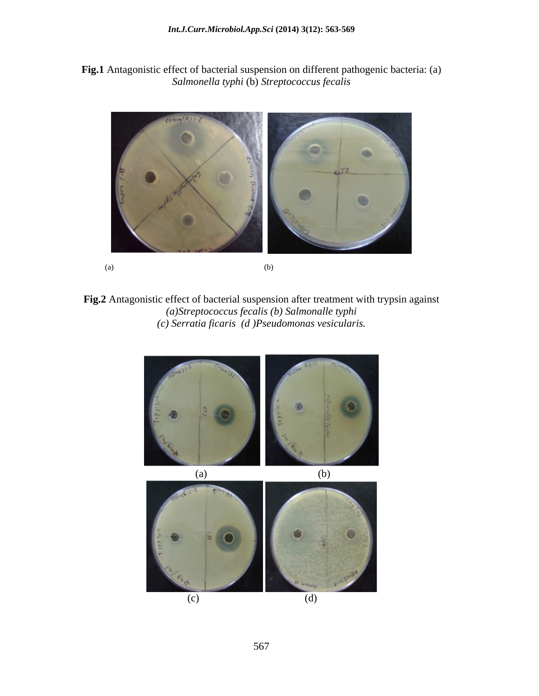**Fig.1** Antagonistic effect of bacterial suspension on different pathogenic bacteria: (a) *Salmonella typhi* (b) *Streptococcus fecalis*



**Fig.2** Antagonistic effect of bacterial suspension after treatment with trypsin against *(a)Streptococcus fecalis (b) Salmonalle typhi (c) Serratia ficaris (d )Pseudomonas vesicularis.*

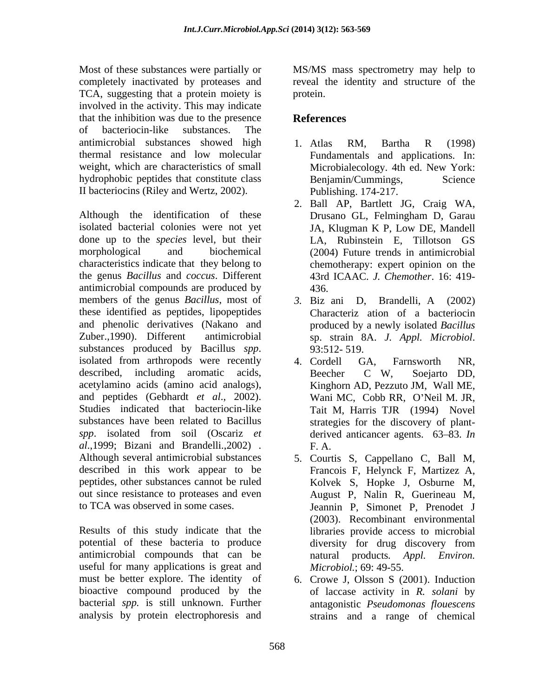Most of these substances were partially or MS/MS mass spectrometry may help to completely inactivated by proteases and reveal the identity and structure of the TCA, suggesting that a protein moiety is protein. involved in the activity. This may indicate that the inhibition was due to the presence **References** of bacteriocin-like substances. The antimicrobial substances showed high 1. Atlas RM, Bartha R (1998) thermal resistance and low molecular weight, which are characteristics of small Microbialecology. 4th ed. New York: hydrophobic peptides that constitute class Benjamin/Cummings, Science II bacteriocins (Riley and Wertz, 2002).

Although the identification of these Drusano GL, Felmingham D, Garau isolated bacterial colonies were not yet JA, Klugman K P, Low DE, Mandell done up to the *species* level, but their morphological and biochemical (2004) Future trends in antimicrobial characteristics indicate that they belong to the genus *Bacillus* and *coccus*. Different antimicrobial compounds are produced by members of the genus *Bacillus*, most of 3. Biz ani D, Brandelli, A (2002) these identified as peptides, lipopeptides and phenolic derivatives (Nakano and Zuber.,1990). Different antimicrobial sp. strain 8A. J. Appl. Microbiol. substances produced by Bacillus *spp*. 93:512-519.<br>isolated from arthropods were recently and A. Cordell GA, Farnsworth NR, described, including aromatic acids, Beecher C W, Soejarto DD, acetylamino acids (amino acid analogs), and peptides (Gebhardt *et al.*, 2002). Wani MC, Cobb RR, O'Neil M. JR, Studies indicated that bacteriocin-like substances have been related to Bacillus *spp*. isolated from soil (Oscariz *et* derived anticancer agents. 63–83. *In al*.,1999; Bizani and Brandelli.,2002) . Although several antimicrobial substances described in this work appear to be peptides, other substances cannot be ruled out since resistance to proteases and even

Results of this study indicate that the libraries provide access to microbial potential of these bacteria to produce antimicrobial compounds that can be a natural products. Appl. Environ. useful for many applications is great and must be better explore. The identity of 6. Crowe J, Olsson S (2001). Induction bioactive compound produced by the bacterial *spp.* is still unknown. Further antagonistic *Pseudomonas flouescens* analysis by protein electrophoresis and

protein.

## **References**

- 1. Atlas RM, Bartha R (1998) Fundamentals and applications. In: Benjamin/Cummings, Science Publishing. 174-217.
- 2. Ball AP, Bartlett JG, Craig WA, Drusano GL, Felmingham D, Garau LA, Rubinstein E, Tillotson GS chemotherapy: expert opinion on the 43rd ICAAC. *J. Chemother*. 16: 419- 436.
- *3.* Biz ani D, Brandelli, A (2002) Characteriz ation of a bacteriocin produced by a newly isolated *Bacillus*  sp. strain 8A. *J. Appl. Microbiol*. 93:512- 519.
- 4. Cordell GA, Farnsworth NR, Beecher C W, Soejarto DD, Kinghorn AD, Pezzuto JM, Wall ME, Tait M, Harris TJR (1994) Novel strategies for the discovery of plant- F. A.
- to TCA was observed in some cases. Jeannin P, Simonet P, Prenodet J 5. Courtis S, Cappellano C, Ball M, Francois F, Helynck F, Martizez A, Kolvek S, Hopke J, Osburne M, August P, Nalin R, Guerineau M, (2003). Recombinant environmental diversity for drug discovery from natural products. *Appl. Microbiol.*; 69: 49-55.
	- of laccase activity in *R. solani* by strains and a range of chemical